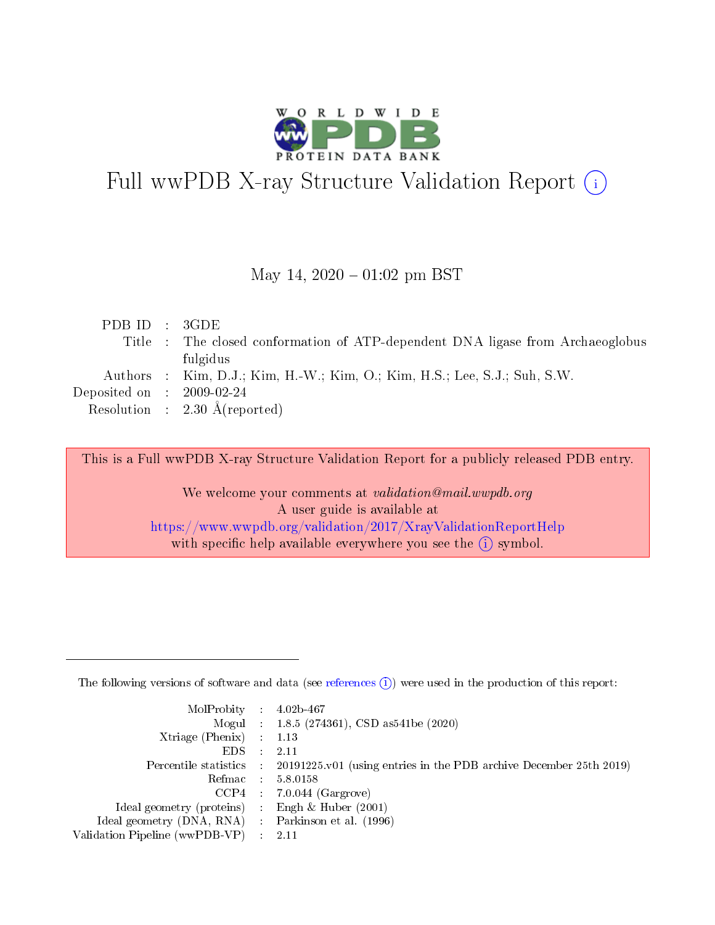

# Full wwPDB X-ray Structure Validation Report (i)

#### May 14,  $2020 - 01:02$  pm BST

| PDBID : 3GDE                |                                                                                |
|-----------------------------|--------------------------------------------------------------------------------|
|                             | Title : The closed conformation of ATP-dependent DNA ligase from Archaeoglobus |
|                             | fulgidus                                                                       |
|                             | Authors : Kim, D.J.; Kim, H.-W.; Kim, O.; Kim, H.S.; Lee, S.J.; Suh, S.W.      |
| Deposited on : $2009-02-24$ |                                                                                |
|                             | Resolution : $2.30 \text{ Å}$ (reported)                                       |
|                             |                                                                                |

This is a Full wwPDB X-ray Structure Validation Report for a publicly released PDB entry.

We welcome your comments at validation@mail.wwpdb.org A user guide is available at <https://www.wwpdb.org/validation/2017/XrayValidationReportHelp> with specific help available everywhere you see the  $(i)$  symbol.

The following versions of software and data (see [references](https://www.wwpdb.org/validation/2017/XrayValidationReportHelp#references)  $(1)$ ) were used in the production of this report:

| $MolProbability$ : 4.02b-467                      |                              |                                                                                            |
|---------------------------------------------------|------------------------------|--------------------------------------------------------------------------------------------|
|                                                   |                              | Mogul : $1.8.5$ (274361), CSD as 541be (2020)                                              |
| Xtriage (Phenix) $: 1.13$                         |                              |                                                                                            |
| EDS –                                             | $\sim$                       | -2.11                                                                                      |
|                                                   |                              | Percentile statistics : 20191225.v01 (using entries in the PDB archive December 25th 2019) |
| Refmac : 5.8.0158                                 |                              |                                                                                            |
| CCP4                                              |                              | $7.0.044$ (Gargrove)                                                                       |
| Ideal geometry (proteins)                         | $\mathcal{L}_{\mathrm{eff}}$ | Engh & Huber $(2001)$                                                                      |
| Ideal geometry (DNA, RNA) Parkinson et al. (1996) |                              |                                                                                            |
| Validation Pipeline (wwPDB-VP) : 2.11             |                              |                                                                                            |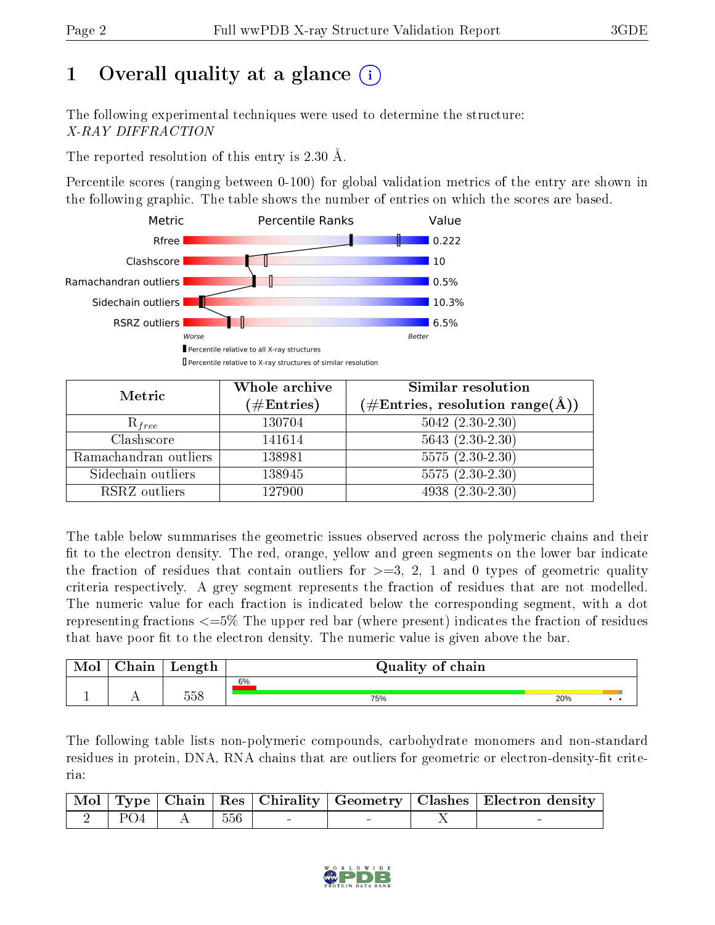## 1 [O](https://www.wwpdb.org/validation/2017/XrayValidationReportHelp#overall_quality)verall quality at a glance  $(i)$

The following experimental techniques were used to determine the structure: X-RAY DIFFRACTION

The reported resolution of this entry is 2.30 Å.

Percentile scores (ranging between 0-100) for global validation metrics of the entry are shown in the following graphic. The table shows the number of entries on which the scores are based.



| Metric                | Whole archive<br>$(\#\mathrm{Entries})$ | Similar resolution<br>$(\#\text{Entries},\, \text{resolution}\; \text{range}(\textup{\AA}))$ |  |
|-----------------------|-----------------------------------------|----------------------------------------------------------------------------------------------|--|
| $R_{free}$            | 130704                                  | $5042$ $(2.30-2.30)$                                                                         |  |
| Clashscore            | 141614                                  | $5643(2.30-2.30)$                                                                            |  |
| Ramachandran outliers | 138981                                  | $5575(2.30-2.30)$                                                                            |  |
| Sidechain outliers    | 138945                                  | $5575(2.30-2.30)$                                                                            |  |
| RSRZ outliers         | 127900                                  | $4938(2.30-2.30)$                                                                            |  |

The table below summarises the geometric issues observed across the polymeric chains and their fit to the electron density. The red, orange, yellow and green segments on the lower bar indicate the fraction of residues that contain outliers for  $\geq=3$ , 2, 1 and 0 types of geometric quality criteria respectively. A grey segment represents the fraction of residues that are not modelled. The numeric value for each fraction is indicated below the corresponding segment, with a dot representing fractions  $\epsilon=5\%$  The upper red bar (where present) indicates the fraction of residues that have poor fit to the electron density. The numeric value is given above the bar.

| Mol | $\cap$ hain | Length | Quality of chain |     |  |
|-----|-------------|--------|------------------|-----|--|
|     |             |        | 6%               |     |  |
|     | . .         | 558    | 75%              | 20% |  |

The following table lists non-polymeric compounds, carbohydrate monomers and non-standard residues in protein, DNA, RNA chains that are outliers for geometric or electron-density-fit criteria:

|  |                                                                                                                                                                                                                                                                                 |  |  | Mol   Type   Chain   Res   Chirality   Geometry   Clashes   Electron density |
|--|---------------------------------------------------------------------------------------------------------------------------------------------------------------------------------------------------------------------------------------------------------------------------------|--|--|------------------------------------------------------------------------------|
|  | $\begin{array}{ c c c c c c c c } \hline \ \text{\normalsize{1}} & 2 & \text{\textnormal{PO4}} & \text{\textnormal{}} & \text{\textnormal{}} & \text{\textnormal{}} & \text{\textnormal{}} & \text{\textnormal{}} & \text{\textnormal{556}} & \text{\textnormal{}} \end{array}$ |  |  |                                                                              |

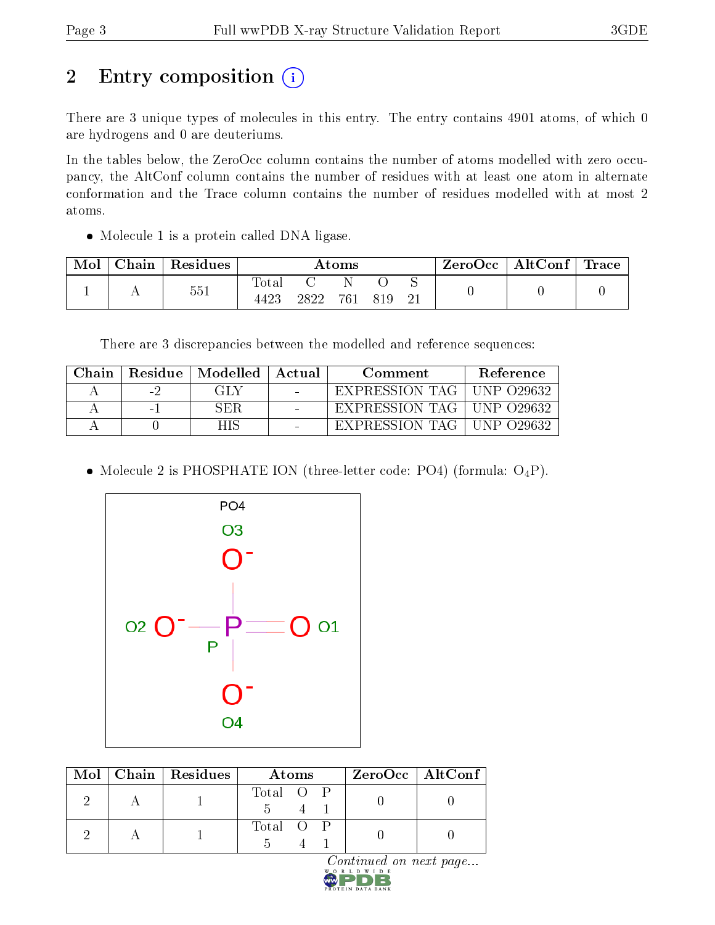## 2 Entry composition (i)

There are 3 unique types of molecules in this entry. The entry contains 4901 atoms, of which 0 are hydrogens and 0 are deuteriums.

In the tables below, the ZeroOcc column contains the number of atoms modelled with zero occupancy, the AltConf column contains the number of residues with at least one atom in alternate conformation and the Trace column contains the number of residues modelled with at most 2 atoms.

• Molecule 1 is a protein called DNA ligase.

| Mol | Chain | Residues | $\rm{Atoms}$        |      |     | ZeroOcc | $\mid$ AltConf $\mid$ Trace $\mid$ |  |  |  |
|-----|-------|----------|---------------------|------|-----|---------|------------------------------------|--|--|--|
|     |       | 551      | $\rm Total$<br>4423 | 2822 | 761 |         |                                    |  |  |  |

There are 3 discrepancies between the modelled and reference sequences:

| Chain | Residue                  | $\mid$ Modelled | Actual | Comment        | <b>Reference</b> |
|-------|--------------------------|-----------------|--------|----------------|------------------|
|       | $\overline{\phantom{a}}$ | GHA             |        | EXPRESSION TAG | UNP 029632       |
|       | $\sim$                   | SER.            |        | EXPRESSION TAG | UNP 029632       |
|       |                          |                 |        | EXPRESSION     | $N$ P ()29632    |

• Molecule 2 is PHOSPHATE ION (three-letter code: PO4) (formula:  $O_4P$ ).



|  | $Mol$   Chain   Residues | Atoms     | $ZeroOcc$   AltConf |
|--|--------------------------|-----------|---------------------|
|  |                          | Total O P |                     |
|  |                          | Total O P |                     |

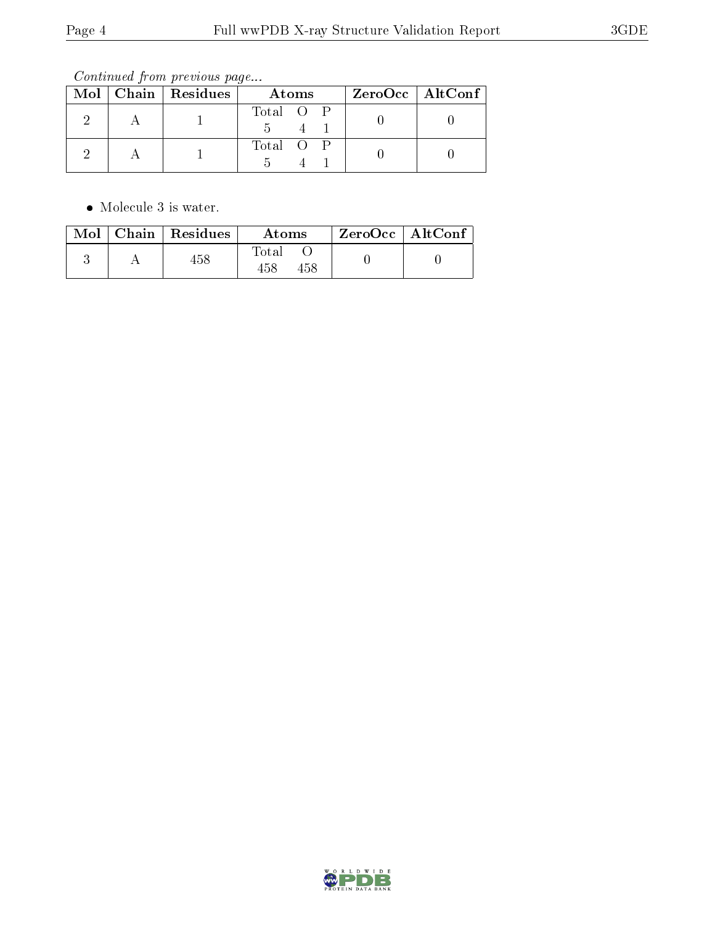Continued from previous page...

|  | Mol   Chain   Residues | Atoms     | $ZeroOcc \   \ AltConf$ |  |
|--|------------------------|-----------|-------------------------|--|
|  |                        | Total O P |                         |  |
|  |                        | Total O   |                         |  |

 $\bullet\,$  Molecule 3 is water.

| Mol | $\vert$ Chain $\vert$ Residues $\vert$ | Atoms               | $\vert$ ZeroOcc $\vert$ AltConf |  |
|-----|----------------------------------------|---------------------|---------------------------------|--|
|     | 458                                    | Total<br>458<br>458 |                                 |  |

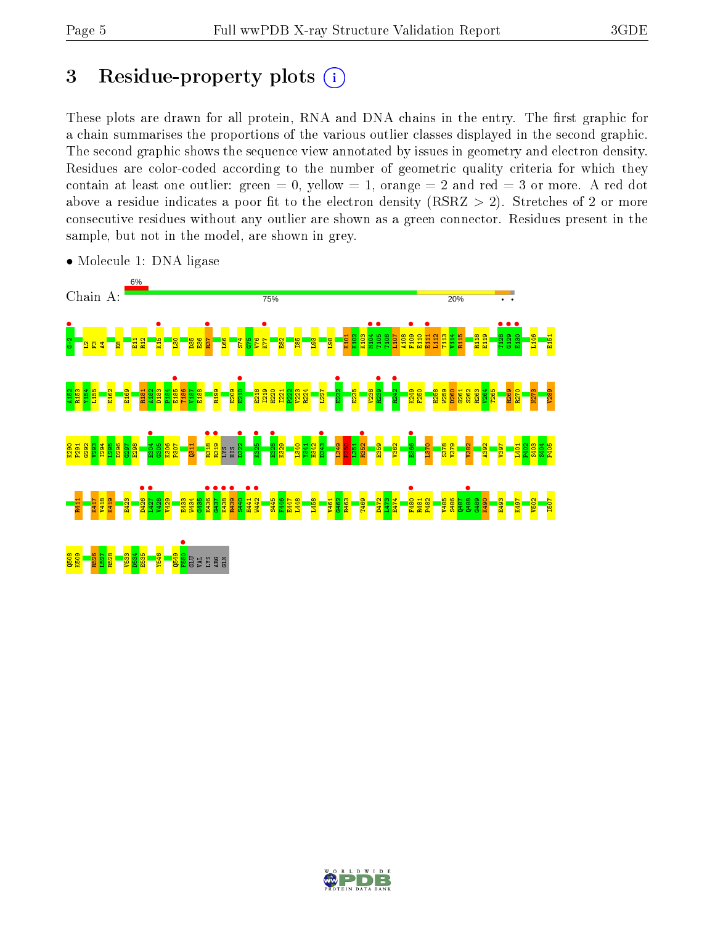## 3 Residue-property plots  $(i)$

These plots are drawn for all protein, RNA and DNA chains in the entry. The first graphic for a chain summarises the proportions of the various outlier classes displayed in the second graphic. The second graphic shows the sequence view annotated by issues in geometry and electron density. Residues are color-coded according to the number of geometric quality criteria for which they contain at least one outlier: green  $= 0$ , yellow  $= 1$ , orange  $= 2$  and red  $= 3$  or more. A red dot above a residue indicates a poor fit to the electron density (RSRZ  $> 2$ ). Stretches of 2 or more consecutive residues without any outlier are shown as a green connector. Residues present in the sample, but not in the model, are shown in grey.



• Molecule 1: DNA ligase

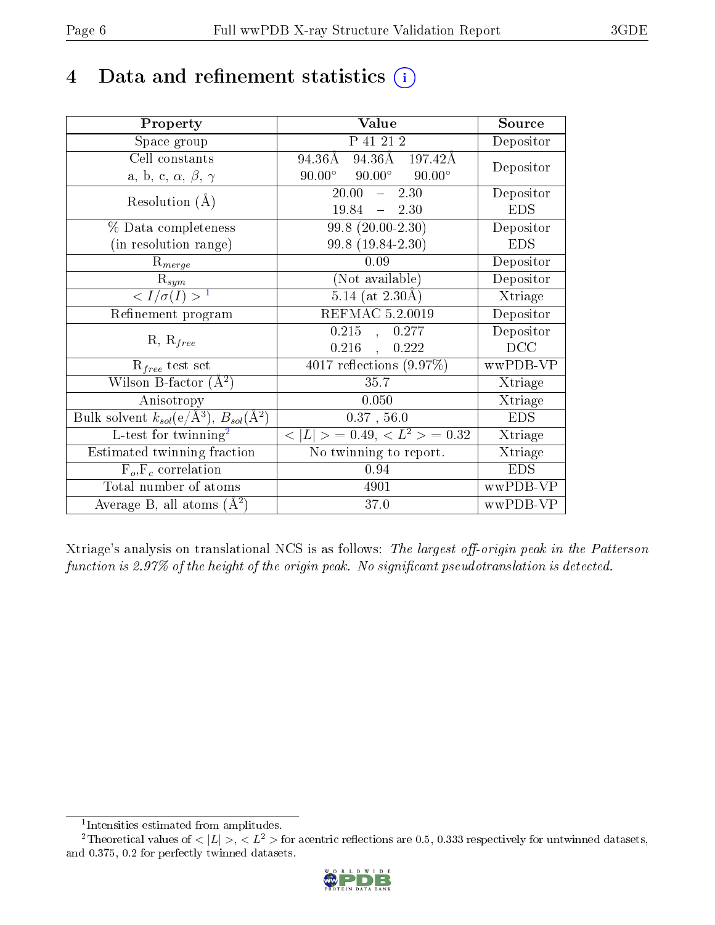## 4 Data and refinement statistics  $(i)$

| Property                                                         | Value                                            | Source     |
|------------------------------------------------------------------|--------------------------------------------------|------------|
| Space group                                                      | P 41 21 2                                        | Depositor  |
| Cell constants                                                   | $94.36\text{\AA}$ 197.42Å<br>94.36Å              | Depositor  |
| a, b, c, $\alpha$ , $\beta$ , $\gamma$                           | $90.00^{\circ}$ $90.00^{\circ}$<br>$90.00^\circ$ |            |
| Resolution $(A)$                                                 | 20.00<br>2.30<br>$\frac{1}{2}$                   | Depositor  |
|                                                                  | $19.84 - 2.30$                                   | <b>EDS</b> |
| % Data completeness                                              | $99.8(20.00-2.30)$                               | Depositor  |
| (in resolution range)                                            | 99.8 (19.84-2.30)                                | <b>EDS</b> |
| $\mathrm{R}_{merge}$                                             | 0.09                                             | Depositor  |
| $\mathrm{R}_{sym}$                                               | (Not available)                                  | Depositor  |
| $\langle I/\sigma(I) \rangle^{-1}$                               | $5.14$ (at 2.30Å)                                | Xtriage    |
| Refinement program                                               | REFMAC 5.2.0019                                  | Depositor  |
| $R, R_{free}$                                                    | 0.215<br>0.277<br>$\frac{1}{2}$                  | Depositor  |
|                                                                  | 0.216<br>0.222<br>$\ddot{\phantom{a}}$           | DCC        |
| $R_{free}$ test set                                              | 4017 reflections $(9.97\%)$                      | wwPDB-VP   |
| Wilson B-factor $(A^2)$                                          | 35.7                                             | Xtriage    |
| Anisotropy                                                       | 0.050                                            | Xtriage    |
| Bulk solvent $k_{sol}(\text{e}/\text{A}^3), B_{sol}(\text{A}^2)$ | 0.37, 56.0                                       | <b>EDS</b> |
| L-test for twinning <sup>2</sup>                                 | $< L >$ = 0.49, $< L^2 >$ = 0.32                 | Xtriage    |
| Estimated twinning fraction                                      | No twinning to report.                           | Xtriage    |
| $F_o, F_c$ correlation                                           | 0.94                                             | <b>EDS</b> |
| Total number of atoms                                            | 4901                                             | wwPDB-VP   |
| Average B, all atoms $(A^2)$                                     | 37.0                                             | wwPDB-VP   |

Xtriage's analysis on translational NCS is as follows: The largest off-origin peak in the Patterson function is 2.97% of the height of the origin peak. No significant pseudotranslation is detected.

<sup>&</sup>lt;sup>2</sup>Theoretical values of  $\langle |L| \rangle$ ,  $\langle L^2 \rangle$  for acentric reflections are 0.5, 0.333 respectively for untwinned datasets, and 0.375, 0.2 for perfectly twinned datasets.



<span id="page-5-1"></span><span id="page-5-0"></span><sup>1</sup> Intensities estimated from amplitudes.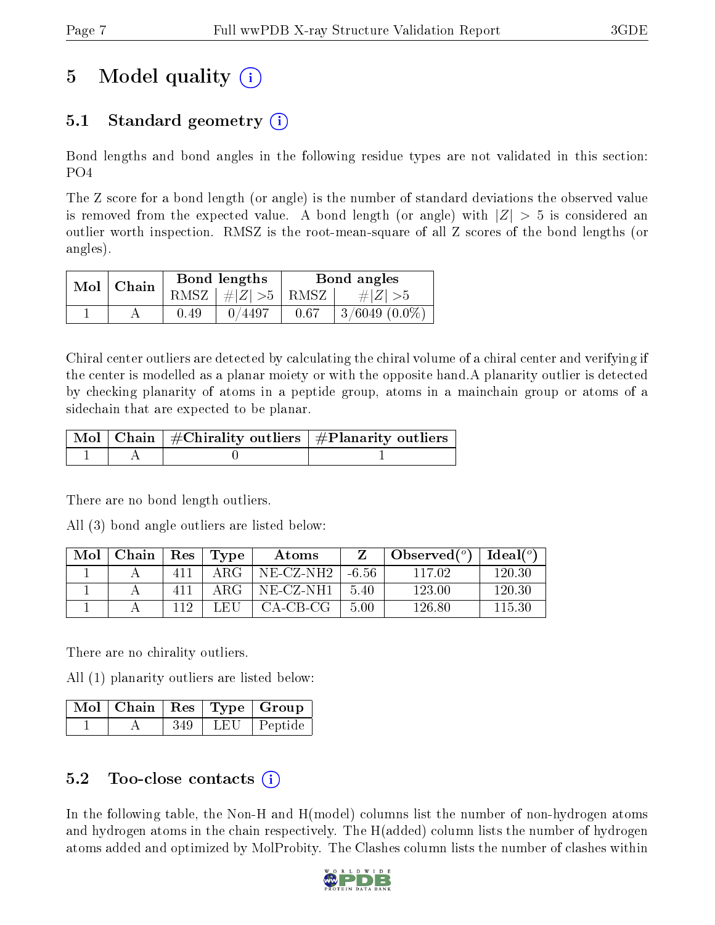## 5 Model quality  $(i)$

### 5.1 Standard geometry (i)

Bond lengths and bond angles in the following residue types are not validated in this section: PO4

The Z score for a bond length (or angle) is the number of standard deviations the observed value is removed from the expected value. A bond length (or angle) with  $|Z| > 5$  is considered an outlier worth inspection. RMSZ is the root-mean-square of all Z scores of the bond lengths (or angles).

| $Mol$   Chain |      | Bond lengths                            | Bond angles |                    |  |
|---------------|------|-----------------------------------------|-------------|--------------------|--|
|               |      | RMSZ $\mid \#  Z  > 5 \mid$ RMSZ $\mid$ |             | $\# Z  > 5$        |  |
|               | 0.49 | 0/4497                                  | 0.67        | $3/6049$ $(0.0\%)$ |  |

Chiral center outliers are detected by calculating the chiral volume of a chiral center and verifying if the center is modelled as a planar moiety or with the opposite hand.A planarity outlier is detected by checking planarity of atoms in a peptide group, atoms in a mainchain group or atoms of a sidechain that are expected to be planar.

|  | $\mid$ Mol $\mid$ Chain $\mid$ #Chirality outliers $\mid$ #Planarity outliers $\mid$ |
|--|--------------------------------------------------------------------------------------|
|  |                                                                                      |

There are no bond length outliers.

All (3) bond angle outliers are listed below:

| Mol | Chain | Res | Type  | Atoms      |       | Observed $(°)$ | Ideal $(^\circ)$ |
|-----|-------|-----|-------|------------|-------|----------------|------------------|
|     |       | 411 | ARG-  | NE-CZ-NH2- | -6.56 | 117.02         | 120.30           |
|     |       | 411 | A R.G | NE-CZ-NH1  | -5.40 | 123.00         | 120.30           |
|     |       |     | LEU   | $CA-CB-CG$ | 5.00  | 126.80         | 115.30           |

There are no chirality outliers.

All (1) planarity outliers are listed below:

|  |      | $\lceil\,\mathrm{Mol}\hskip.7pt\rceil$ Chain $\mid\mathrm{Res}\mid\mathrm{Type}\mid\mathrm{Group}\mid$ |
|--|------|--------------------------------------------------------------------------------------------------------|
|  | -349 | LEU   Peptide                                                                                          |

#### 5.2 Too-close contacts  $\overline{a}$

In the following table, the Non-H and H(model) columns list the number of non-hydrogen atoms and hydrogen atoms in the chain respectively. The H(added) column lists the number of hydrogen atoms added and optimized by MolProbity. The Clashes column lists the number of clashes within

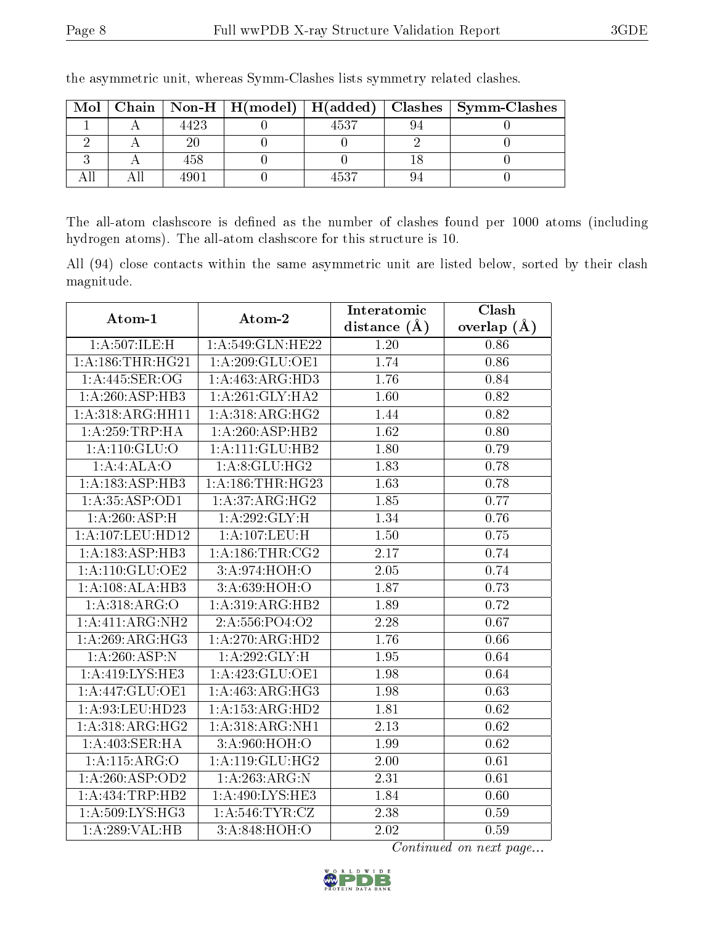| Mol |                  |      | Chain   Non-H   H(model)   H(added)   Clashes   Symm-Clashes |
|-----|------------------|------|--------------------------------------------------------------|
|     | 4423             | 4537 |                                                              |
|     |                  |      |                                                              |
|     | 458              |      |                                                              |
|     | 490 <sup>-</sup> | 1537 |                                                              |

the asymmetric unit, whereas Symm-Clashes lists symmetry related clashes.

The all-atom clashscore is defined as the number of clashes found per 1000 atoms (including hydrogen atoms). The all-atom clashscore for this structure is 10.

All (94) close contacts within the same asymmetric unit are listed below, sorted by their clash magnitude.

| Atom-1                       | Atom-2                      | Interatomic    | Clash         |
|------------------------------|-----------------------------|----------------|---------------|
|                              |                             | distance $(A)$ | overlap $(A)$ |
| 1:A:507:ILE:H                | 1: A:549: GLN: HE22         | 1.20           | 0.86          |
| 1: A: 186: THR: HG21         | 1: A:209: GLU:OE1           | 1.74           | 0.86          |
| 1: A:445: SER:OG             | 1:A:463:ARG:HD3             | 1.76           | 0.84          |
| $1:A:260:ASP:\overline{HB3}$ | 1:A:261:GLY:HA2             | 1.60           | 0.82          |
| 1:A:318:ARG:HH11             | 1:A:318:ARG:HG2             | 1.44           | 0.82          |
| 1: A:259:TRP:HA              | 1:A:260:ASP:HB2             | 1.62           | 0.80          |
| 1: A: 110: GLU:O             | 1: A: 111: GLU: HB2         | 1.80           | 0.79          |
| 1:A:4:ALA:O                  | 1: A:8: GLU: HG2            | 1.83           | 0.78          |
| 1:A:183:ASP:HB3              | 1: A: 186: THR: HG23        | 1.63           | 0.78          |
| $1:\overline{A:35:ASP:OD1}$  | $1:A:37:\overline{ARG:HG2}$ | 1.85           | 0.77          |
| 1:A:260:ASP:H                | 1:A:292:GLY:H               | 1.34           | 0.76          |
| 1: A:107:LEU:HD12            | 1: A:107:LEU:H              | 1.50           | 0.75          |
| 1: A: 183: ASP: HB3          | 1: A:186:THR:CG2            | 2.17           | 0.74          |
| 1: A:110: GLU:OE2            | 3:A:974:HOH:O               | 2.05           | 0.74          |
| 1:A:108:ALA:HB3              | 3:A:639:HOH:O               | 1.87           | 0.73          |
| 1: A:318: ARG:O              | 1:A:319:ARG:HB2             | 1.89           | 0.72          |
| 1:A:411:ARG:NH2              | 2:A:556:PO4:O2              | 2.28           | 0.67          |
| 1:A:269:ARG:HG3              | 1:A:270:ARG:HD2             | 1.76           | 0.66          |
| 1:A:260:ASP:N                | 1:A:292:GLY:H               | 1.95           | 0.64          |
| 1:A:419:LYS:HE3              | 1:A:423:GLU:OE1             | 1.98           | 0.64          |
| 1:A:447:GLU:OE1              | 1: A:463:ARG:HG3            | 1.98           | 0.63          |
| 1:A:93:LEU:HD23              | 1:A:153:ARG:HD2             | 1.81           | 0.62          |
| 1:A:318:ARG:HG2              | 1: A:318: ARG: NH1          | 2.13           | 0.62          |
| 1:A:403:SER:HA               | 3:A:960:HOH:O               | 1.99           | 0.62          |
| 1:A:115:ARG:O                | 1:A:119:GLU:HG2             | 2.00           | 0.61          |
| 1:A:260:ASP:OD2              | 1:A:263:ARG:N               | 2.31           | 0.61          |
| 1:A:434:TRP:HB2              | 1: A:490: LYS: HE3          | 1.84           | 0.60          |
| 1: A:509: LYS: HG3           | 1: A:546: TYR: CZ           | 2.38           | 0.59          |
| 1:A:289:VAL:HB               | 3:A:848:HOH:O               | 2.02           | 0.59          |

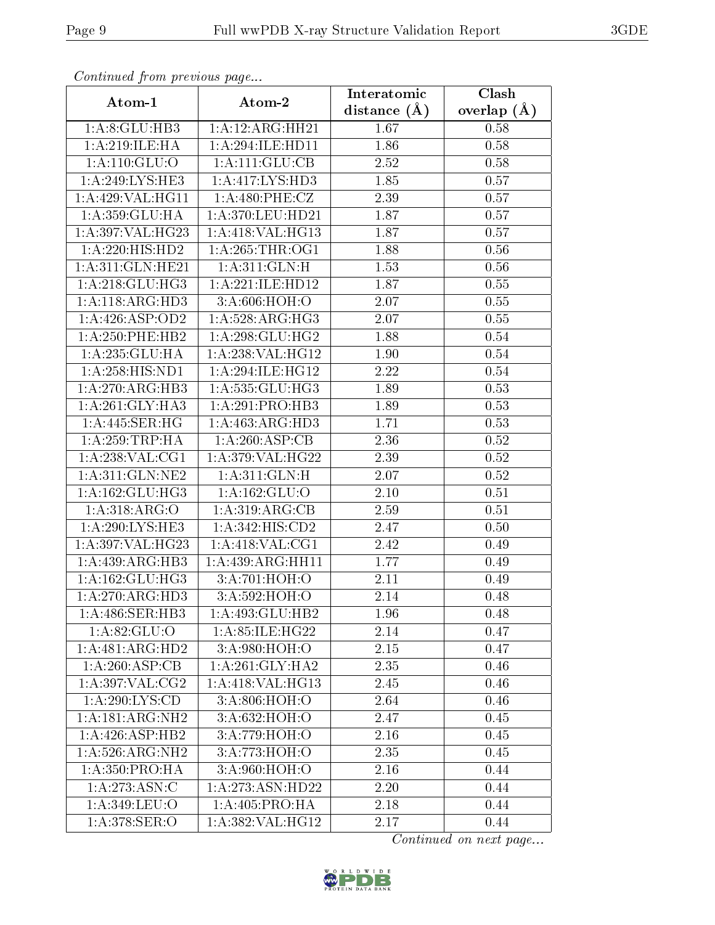| Continued from previous page |                               | Interatomic       | Clash           |
|------------------------------|-------------------------------|-------------------|-----------------|
| Atom-1                       | Atom-2                        | distance $(A)$    | overlap $(\AA)$ |
| 1:A:8:GLU:HB3                | 1:A:12:ARG:HH21               | 1.67              | 0.58            |
| 1: A:219: ILE: HA            | 1:A:294:ILE:HD11              | 1.86              | 0.58            |
| 1: A:110: GLU:O              | 1: A: 111: GLU: CB            | 2.52              | 0.58            |
| 1: A:249: LYS: HE3           | 1: A: 417: LYS: HD3           | 1.85              | 0.57            |
| 1:A:429:VAL:HG11             | 1: A:480: PHE: CZ             | 2.39              | 0.57            |
| 1: A:359: GLU: HA            | 1: A:370: LEU: HD21           | 1.87              | 0.57            |
| 1:A:397:VAL:HG23             | 1:A:418:VAL:HG13              | 1.87              | 0.57            |
| 1:A:220:HIS:HD2              | 1: A:265:THR:OG1              | 1.88              | 0.56            |
| 1:A:311:GLN:HE21             | 1: A:311: GLN: H              | 1.53              | 0.56            |
| 1: A:218: GLU:HG3            | 1:A:221:ILE:HD12              | 1.87              | 0.55            |
| 1: A:118: ARG:HD3            | 3:A:606:HOH:O                 | 2.07              | 0.55            |
| 1:A:426:ASP:OD2              | 1: A:528: ARG:HG3             | $\overline{2.07}$ | 0.55            |
| 1: A: 250: PHE: HB2          | 1:A:298:GLU:HG2               | 1.88              | 0.54            |
| 1:A:235:GLU:HA               | 1:A:238:VAL:HG12              | 1.90              | 0.54            |
| 1:A:258:HIS:ND1              | 1:A:294:ILE:HG12              | 2.22              | 0.54            |
| 1:A:270:ARG:HB3              | 1:A:535:GLU:HG3               | 1.89              | 0.53            |
| 1: A:261: GLY:HA3            | 1:A:291:PRO:HB3               | 1.89              | 0.53            |
| 1:A:445:SER:HG               | 1:A:463:ARG:HD3               | 1.71              | 0.53            |
| 1: A:259:TRP:HA              | 1:A:260:ASP:CB                | 2.36              | 0.52            |
| 1: A:238: VAL:CG1            | 1: A:379: VAL:HG22            | 2.39              | 0.52            |
| 1: A:311: GLN: NE2           | 1: A:311: GLN: H              | 2.07              | 0.52            |
| 1: A: 162: GLU: HG3          | 1:A:162:GLU:O                 | 2.10              | 0.51            |
| 1:A:318:ARG:O                | 1: A:319: ARG: CB             | 2.59              | 0.51            |
| 1: A:290: LYS: HE3           | 1: A: 342: HIS: CD2           | 2.47              | 0.50            |
| 1: A:397: VAL:HG23           | 1:A:418:VAL:CG1               | 2.42              | 0.49            |
| 1:A:439:ARG:HB3              | 1:A:439:ARG:HH11              | 1.77              | 0.49            |
| 1: A: 162: GLU: HG3          | 3:A:701:HOH:O                 | 2.11              | 0.49            |
| 1:A:270:ARG:HD3              | 3:A:592:HOH:O                 | 2.14              | 0.48            |
| 1: A:486: SER:HB3            | 1:A:493:GLU:HB2               | 1.96              | 0.48            |
| 1:A:82:GLU:O                 | 1:A:85:ILE:HG22               | 2.14              | 0.47            |
| 1:A:481:ARG:HD2              | 3: A:980:HOH:O                | 2.15              | 0.47            |
| 1: A:260: ASP:CB             | 1:A:261:GLY:HA2               | 2.35              | 0.46            |
| 1:A:397:VAL:CG2              | 1: A:418: VAL:HG13            | 2.45              | 0.46            |
| 1:A:290:LYS:CD               | $3:A:806:\overline{HOH:O}$    | 2.64              | 0.46            |
| 1:A:181:ARG:NH2              | 3: A:632: HOH:O               | 2.47              | 0.45            |
| $1:A:426:\overline{ASP:HB2}$ | 3:A:779:HOH:O                 | 2.16              | 0.45            |
| 1: A:526: ARG: NH2           | 3:A:773:HOH:O                 | 2.35              | 0.45            |
| 1: A:350: PRO:HA             | 3:A:960:HOH:O                 | 2.16              | 0.44            |
| 1:A:273:ASN:C                | $1:A:273:ASN:H\overline{D22}$ | 2.20              | 0.44            |
| 1:A:349:LEU:O                | 1: A:405:PRO:HA               | 2.18              | 0.44            |
| 1:A:378:SER:O                | 1:A:382:VAL:HG12              | 2.17              | 0.44            |

Continued from previous page.

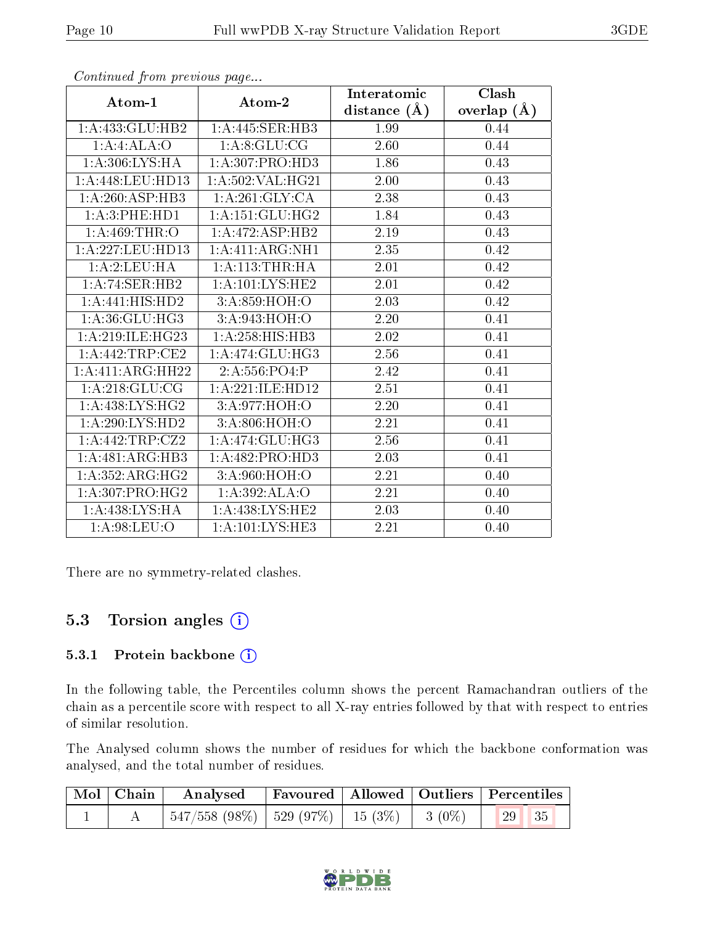|                              |                                  | Interatomic    | <b>Clash</b>  |
|------------------------------|----------------------------------|----------------|---------------|
| Atom-1                       | Atom-2                           | distance $(A)$ | overlap $(A)$ |
| 1:A:433:GLU:HB2              | 1:A:445:SER:HB3                  | 1.99           | 0.44          |
| 1:A:4:ALA:O                  | 1:A:8:GLU:CG                     | 2.60           | 0.44          |
| 1: A:306: LYS: HA            | 1: A: 307: PRO: HD3              | 1.86           | 0.43          |
| 1: A:448:LEU:HD13            | 1:A:502:VAL:HG21                 | 2.00           | 0.43          |
| $1:A:260:\overline{ASP:HB3}$ | 1:A:261:GLY:CA                   | 2.38           | 0.43          |
| 1:A:3:PHE:HD1                | 1: A:151: GLU:HG2                | 1.84           | 0.43          |
| 1: A:469:THR:O               | 1:A:472:ASP:HB2                  | 2.19           | 0.43          |
| 1:A:227:LEU:HD13             | 1:A:411:ARG:NH1                  | 2.35           | 0.42          |
| 1:A:2:LEU:HA                 | 1: A:113:THR:HA                  | 2.01           | 0.42          |
| 1:A:74:SER:HB2               | 1:A:101:LYS:HE2                  | 2.01           | 0.42          |
| 1: A:441: HIS: HD2           | 3:A:859:HOH:O                    | 2.03           | 0.42          |
| 1: A:36: GLU:HG3             | 3:A:943:HOH:O                    | 2.20           | 0.41          |
| 1: A:219: ILE: HG23          | $1:A:258:HIS:H\overline{B3}$     | 2.02           | 0.41          |
| 1:A:442:TRP:CE2              | 1:A:474:GLU:HG3                  | 2.56           | 0.41          |
| 1:A:411:ARG:HH22             | 2: A: 556: PO4: P                | 2.42           | 0.41          |
| 1:A:218:GLU:CG               | 1:A:221:ILE:HD12                 | 2.51           | 0.41          |
| 1: A:438: LYS: HG2           | 3:A:977:HOH:O                    | 2.20           | 0.41          |
| 1:A:290:LYS:HD2              | 3:A:806:HOH:O                    | 2.21           | 0.41          |
| 1:A:442:TRP:CZ2              | 1: A:474: GLU: HG3               | 2.56           | 0.41          |
| 1:A:481:ARG:HB3              | 1:A:482:PRO:HD3                  | 2.03           | 0.41          |
| 1:A:352:ARG:HG2              | 3:A:960:HOH:O                    | 2.21           | 0.40          |
| 1: A:307: PRO:HG2            | 1:A:392:ALA:O                    | 2.21           | 0.40          |
| 1:A:438:LYS:HA               | 1: A:438: LYS: HE2               | 2.03           | 0.40          |
| 1: A:98: LEU:O               | $1: A: 101: LYS: \overline{HE3}$ | 2.21           | 0.40          |

Continued from previous page...

There are no symmetry-related clashes.

#### 5.3 Torsion angles (i)

#### 5.3.1 Protein backbone (i)

In the following table, the Percentiles column shows the percent Ramachandran outliers of the chain as a percentile score with respect to all X-ray entries followed by that with respect to entries of similar resolution.

The Analysed column shows the number of residues for which the backbone conformation was analysed, and the total number of residues.

|  | $\boxed{\text{Mol}}$ Chain $\boxed{\text{Analysed}}$ |  | Favoured   Allowed   Outliers   Percentiles |
|--|------------------------------------------------------|--|---------------------------------------------|
|  |                                                      |  |                                             |

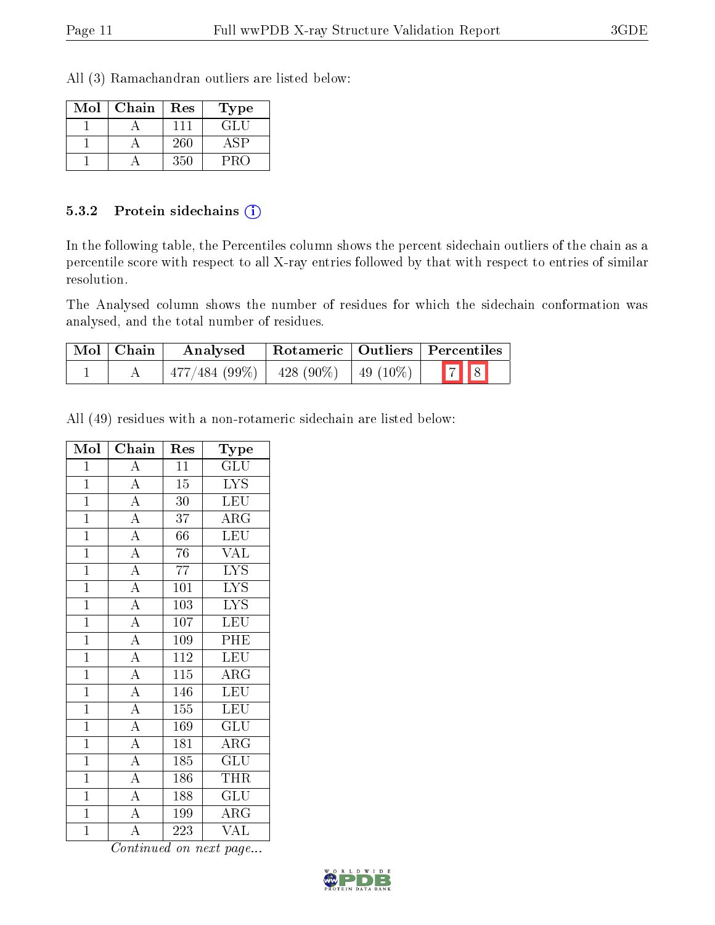All (3) Ramachandran outliers are listed below:

| Mol | Chain | Res | Type |
|-----|-------|-----|------|
|     |       | 111 | GLI. |
|     |       | 260 |      |
|     |       | 350 |      |

#### 5.3.2 Protein sidechains (i)

In the following table, the Percentiles column shows the percent sidechain outliers of the chain as a percentile score with respect to all X-ray entries followed by that with respect to entries of similar resolution.

The Analysed column shows the number of residues for which the sidechain conformation was analysed, and the total number of residues.

| $\mid$ Mol $\mid$ Chain | Analysed                                  | Rotameric   Outliers   Percentiles |             |
|-------------------------|-------------------------------------------|------------------------------------|-------------|
|                         | $477/484$ (99\%)   428 (90\%)   49 (10\%) |                                    | $\boxed{7}$ |

All (49) residues with a non-rotameric sidechain are listed below:

| Mol            | Chain                               | Res              | Type                                |
|----------------|-------------------------------------|------------------|-------------------------------------|
| $\mathbf 1$    | $\boldsymbol{A}$                    | 11               | GLU                                 |
| $\overline{1}$ | $\overline{A}$                      | $\overline{15}$  | <b>LYS</b>                          |
| $\mathbf{1}$   | $\frac{\overline{A}}{\overline{A}}$ | 30               | <b>LEU</b>                          |
| $\mathbf{1}$   |                                     | 37               | $\overline{\rm{ARG}}$               |
| $\overline{1}$ | $\overline{A}$                      | 66               | <b>LEU</b>                          |
| $\overline{1}$ | $\overline{A}$                      | 76               | VĀL                                 |
| $\mathbf{1}$   | $\overline{A}$                      | 77               | <b>LYS</b>                          |
| $\mathbf{1}$   | $\overline{A}$                      | 101              | $\overline{\text{LYS}}$             |
| $\overline{1}$ | $\overline{A}$                      | 103              | $\overline{\text{LYS}}$             |
| $\overline{1}$ | $\overline{A}$                      | 107              | LEU                                 |
| $\overline{1}$ | $\overline{A}$                      | 109              | PHE                                 |
| $\mathbf{1}$   | $\overline{A}$                      | 112              | <b>LEU</b>                          |
| $\overline{1}$ | $\overline{\rm A}$                  | 115              | ARG                                 |
| $\overline{1}$ | $\overline{A}$                      | 146              | $\overline{\text{LEU}}$             |
| $\mathbf{1}$   | $\overline{A}$                      | 155              | <b>LEU</b>                          |
| $\overline{1}$ | $\overline{A}$                      | $\overline{1}69$ | $\overline{\mathrm{GLU}}$           |
| $\mathbf{1}$   | $\overline{A}$                      | 181              | $\rm{ARG}$                          |
| $\overline{1}$ | $\overline{A}$                      | 185              | GLU                                 |
| $\overline{1}$ | $\overline{A}$                      | 186              | THR                                 |
| $\mathbf{1}$   | $\overline{A}$                      | 188              | $\mathrm{GL} \overline{\mathrm{U}}$ |
| $\overline{1}$ | $\overline{A}$                      | 199              | $\overline{\rm{ARG}}$               |
| $\overline{1}$ | $\overline{\rm A}$                  | 223              | VAL                                 |

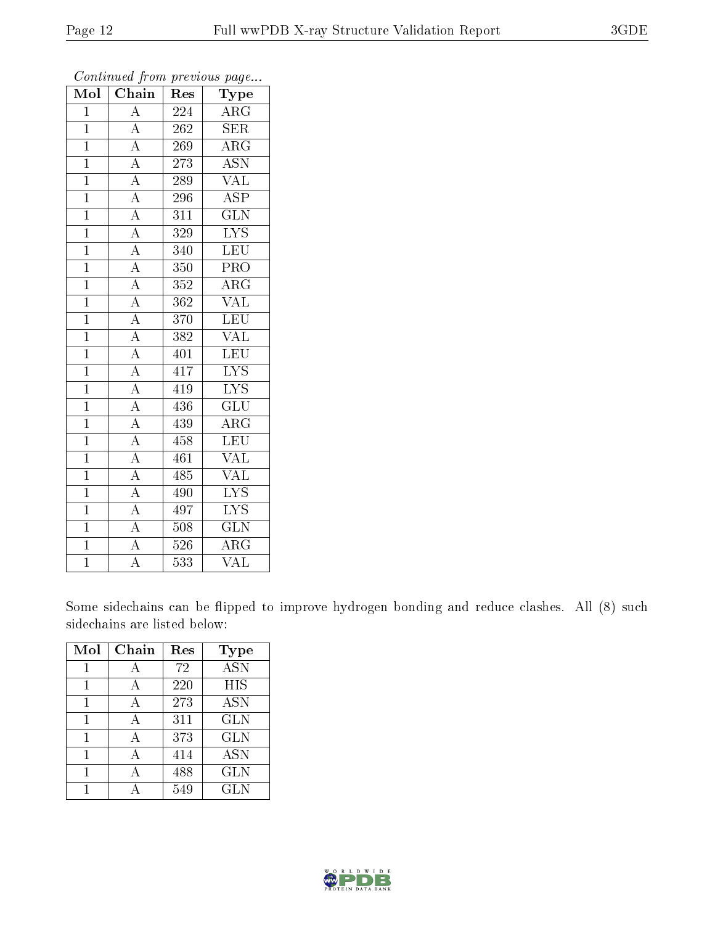| Mol            | Chain                                                                                                       | Res              | Type                      |
|----------------|-------------------------------------------------------------------------------------------------------------|------------------|---------------------------|
| $\overline{1}$ | $\overline{\rm A}$                                                                                          | 224              | $\rm{ARG}$                |
| $\overline{1}$ | $\overline{A}$                                                                                              | 262              | SER                       |
| $\overline{1}$ |                                                                                                             | 269              | $\overline{\text{ARG}}$   |
| $\mathbf{1}$   | $\frac{\overline{A}}{\overline{A}}$                                                                         | 273              | <b>ASN</b>                |
| $\overline{1}$ | $\frac{\overline{A}}{\overline{A}}$                                                                         | 289              | $\overline{\text{VAL}}$   |
| $\mathbf{1}$   |                                                                                                             | 296              | $\overline{\text{ASP}}$   |
| $\mathbf{1}$   |                                                                                                             | 311              | $\overline{\text{GLN}}$   |
| $\overline{1}$ | $\frac{\overline{A}}{\overline{A}}$ $\frac{\overline{A}}{\overline{A}}$ $\frac{\overline{A}}{\overline{A}}$ | 329              | $\overline{\text{LYS}}$   |
| $\mathbf{1}$   |                                                                                                             | 340              | LEU                       |
| $\overline{1}$ |                                                                                                             | 350              | PRO                       |
| $\overline{1}$ |                                                                                                             | 352              | $\rm{ARG}$                |
| $\overline{1}$ |                                                                                                             | $\overline{362}$ | $\overline{\text{VAL}}$   |
| $\overline{1}$ |                                                                                                             | 370              | LEU                       |
| $\overline{1}$ |                                                                                                             | 382              | <b>VAL</b>                |
| $\overline{1}$ | $\frac{\overline{A}}{\overline{A}}$                                                                         | 401              | LEU                       |
| $\mathbf{1}$   |                                                                                                             | 417              | $\overline{\rm LYS}$      |
| $\overline{1}$ |                                                                                                             | 419              | $\overline{\text{LYS}}$   |
| $\mathbf{1}$   |                                                                                                             | 436              | $\overline{\text{GLU}}$   |
| $\mathbf{1}$   |                                                                                                             | 439              | $\overline{\rm{ARG}}$     |
| $\overline{1}$ |                                                                                                             | 458              | <b>LEU</b>                |
| $\overline{1}$ |                                                                                                             | 461              | $\overline{\text{VAL}}$   |
| $\overline{1}$ | $\frac{\overline{A}}{\overline{A}}$ $\frac{\overline{A}}{\overline{A}}$ $\frac{\overline{A}}{\overline{A}}$ | 485              | $\overline{\text{VAL}}$   |
| $\overline{1}$ |                                                                                                             | 490              | $\overline{\text{LYS}}$   |
| $\overline{1}$ | $\frac{\overline{A}}{\overline{A}}$                                                                         | 497              | $\overline{\mathrm{LYS}}$ |
| $\overline{1}$ |                                                                                                             | 508              | $\overline{\text{GLN}}$   |
| $\overline{1}$ |                                                                                                             | 526              | $\rm{ARG}$                |
| $\overline{1}$ | $\overline{\rm A}$                                                                                          | $\overline{533}$ | $\overline{\text{VAL}}$   |

Continued from previous page...

Some sidechains can be flipped to improve hydrogen bonding and reduce clashes. All (8) such sidechains are listed below:

| Mol | Chain | Res | Type       |
|-----|-------|-----|------------|
| 1   | А     | 72  | <b>ASN</b> |
| 1   | А     | 220 | HIS        |
| 1   | А     | 273 | <b>ASN</b> |
| 1   | А     | 311 | <b>GLN</b> |
| 1   | А     | 373 | <b>GLN</b> |
|     |       | 414 | <b>ASN</b> |
|     |       | 488 | <b>GLN</b> |
|     |       | 549 | <b>GLN</b> |

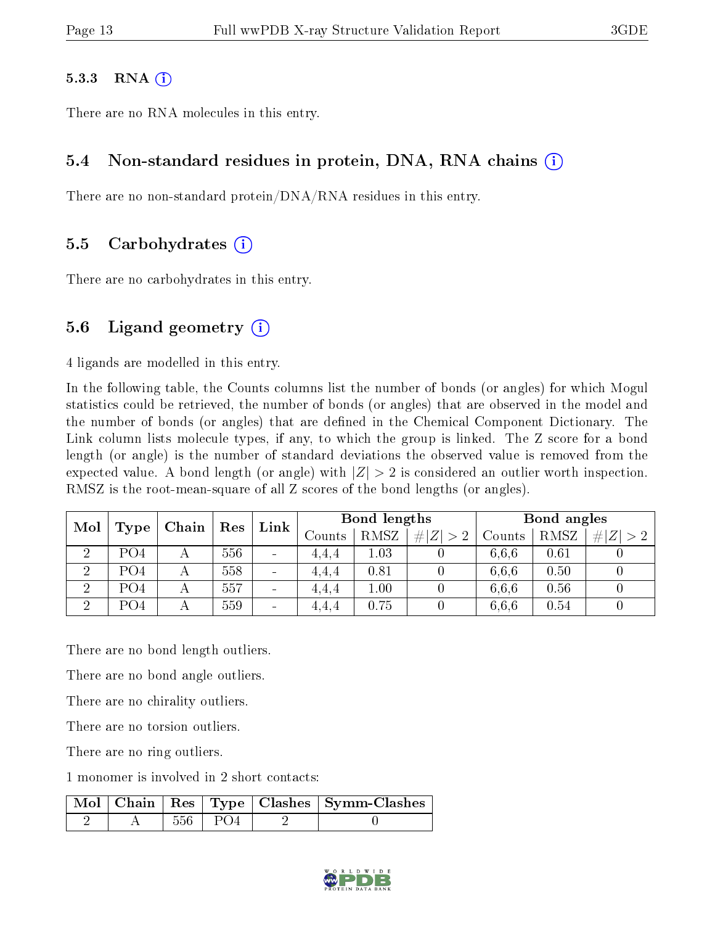#### 5.3.3 RNA  $(i)$

There are no RNA molecules in this entry.

#### 5.4 Non-standard residues in protein, DNA, RNA chains (i)

There are no non-standard protein/DNA/RNA residues in this entry.

#### 5.5 Carbohydrates (i)

There are no carbohydrates in this entry.

#### 5.6 Ligand geometry  $(i)$

4 ligands are modelled in this entry.

In the following table, the Counts columns list the number of bonds (or angles) for which Mogul statistics could be retrieved, the number of bonds (or angles) that are observed in the model and the number of bonds (or angles) that are defined in the Chemical Component Dictionary. The Link column lists molecule types, if any, to which the group is linked. The Z score for a bond length (or angle) is the number of standard deviations the observed value is removed from the expected value. A bond length (or angle) with  $|Z| > 2$  is considered an outlier worth inspection. RMSZ is the root-mean-square of all Z scores of the bond lengths (or angles).

| Mol                  | Type            | Chain                     | $\operatorname{Res}$ | Link                         | Bond lengths |             |        | Bond angles |             |  |
|----------------------|-----------------|---------------------------|----------------------|------------------------------|--------------|-------------|--------|-------------|-------------|--|
|                      |                 |                           |                      | Counts                       | RMSZ         | # $ Z  > 2$ | Counts | RMSZ        | $\# Z  > 2$ |  |
| $\ddot{\phantom{0}}$ | PO4             |                           | 556                  | $\qquad \qquad \blacksquare$ | 4.4.4        | $1.03\,$    |        | 6.6.6       | 0.61        |  |
| $\overline{2}$       | PO <sub>4</sub> | А                         | 558                  | $\qquad \qquad \blacksquare$ | 4,4,4        | 0.81        |        | 6.6.6       | 0.50        |  |
| $\overline{2}$       | PO4             | $\boldsymbol{\mathsf{A}}$ | 557                  | $\overline{\phantom{a}}$     | 4.4.4        | 1.00        |        | 6.6.6       | 0.56        |  |
| ച                    | PO <sub>4</sub> |                           | 559                  | $\overline{\phantom{a}}$     | 4,4,4        | 0.75        |        | 6.6.6       | 0.54        |  |

There are no bond length outliers.

There are no bond angle outliers.

There are no chirality outliers.

There are no torsion outliers.

There are no ring outliers.

1 monomer is involved in 2 short contacts:

|  |           | Mol   Chain   Res   Type   Clashes   Symm-Clashes |
|--|-----------|---------------------------------------------------|
|  | 556   PO4 |                                                   |

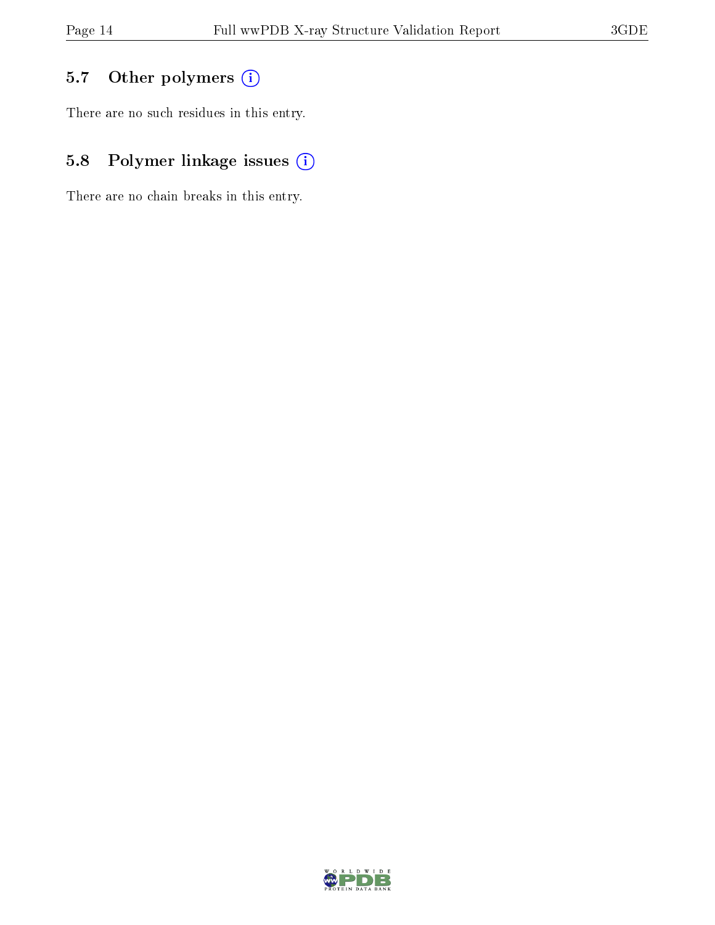### 5.7 [O](https://www.wwpdb.org/validation/2017/XrayValidationReportHelp#nonstandard_residues_and_ligands)ther polymers (i)

There are no such residues in this entry.

### 5.8 Polymer linkage issues (i)

There are no chain breaks in this entry.

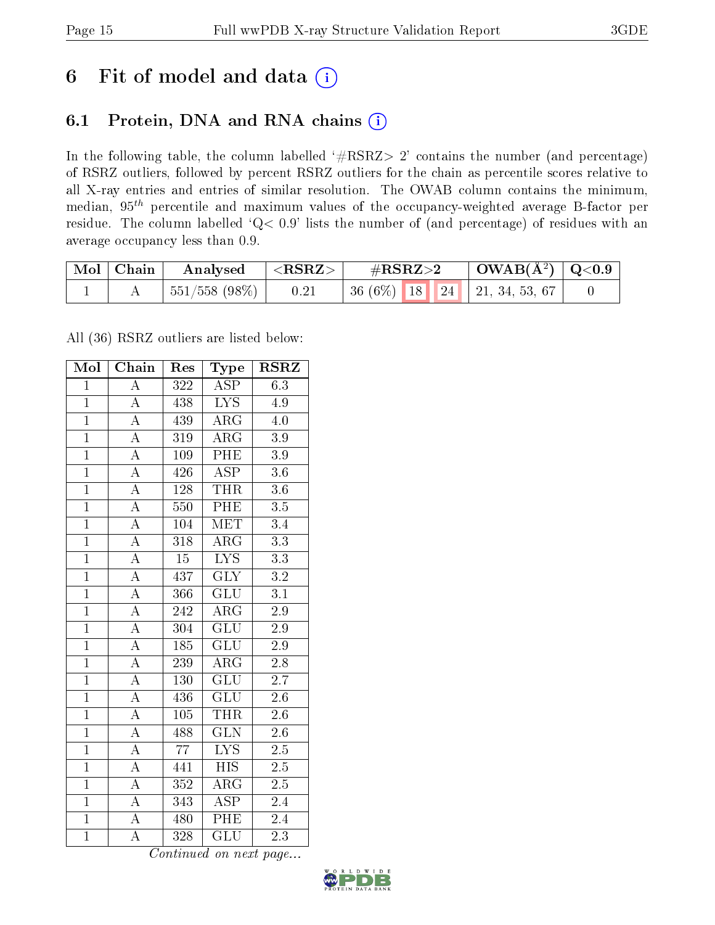## 6 Fit of model and data  $(i)$

### 6.1 Protein, DNA and RNA chains  $(i)$

In the following table, the column labelled  $#RSRZ> 2'$  contains the number (and percentage) of RSRZ outliers, followed by percent RSRZ outliers for the chain as percentile scores relative to all X-ray entries and entries of similar resolution. The OWAB column contains the minimum, median,  $95<sup>th</sup>$  percentile and maximum values of the occupancy-weighted average B-factor per residue. The column labelled ' $Q< 0.9$ ' lists the number of (and percentage) of residues with an average occupancy less than 0.9.

| Mol   Chain | Analysed               | $ \langle \mathrm{RSRZ} \rangle$ | $\#\text{RSRZ}\text{>2}$            | $\mid$ OWAB(Å <sup>2</sup> ) $\mid$ Q<0.9 |  |
|-------------|------------------------|----------------------------------|-------------------------------------|-------------------------------------------|--|
|             | $ 551/558(98\%) $ 0.21 |                                  | 36 (6\%)   18   24   21, 34, 53, 67 |                                           |  |

All (36) RSRZ outliers are listed below:

| Mol            | Chain              | Res             | ${\bf Type}$              | <b>RSRZ</b>      |
|----------------|--------------------|-----------------|---------------------------|------------------|
| $\mathbf{1}$   | $\overline{\rm A}$ | 322             | <b>ASP</b>                | 6.3              |
| $\mathbf{1}$   | $\overline{\rm A}$ | 438             | <b>LYS</b>                | 4.9              |
| $\overline{1}$ | $\overline{\rm A}$ | 439             | ARG                       | 4.0              |
| $\overline{1}$ | $\overline{\rm A}$ | 319             | $\rm{ARG}$                | $3.9\,$          |
| $\overline{1}$ | $\overline{\rm A}$ | 109             | $\overline{\text{PHE}}$   | $\overline{3.9}$ |
| $\mathbf{1}$   | $\boldsymbol{A}$   | 426             | <b>ASP</b>                | $3.6\,$          |
| $\overline{1}$ | $\overline{\rm A}$ | 128             | <b>THR</b>                | $3.6\,$          |
| $\overline{1}$ | $\overline{A}$     | 550             | $\overline{\rm PHE}$      | $\overline{3.5}$ |
| $\overline{1}$ | $\overline{\rm A}$ | 104             | <b>MET</b>                | 3.4              |
| $\overline{1}$ | $\overline{\rm A}$ | 318             | $\rm{ARG}$                | $\overline{3.3}$ |
| $\mathbf{1}$   | $\boldsymbol{A}$   | $1\overline{5}$ | <b>LYS</b>                | $3.3\,$          |
| $\overline{1}$ | $\overline{\rm A}$ | 437             | $\overline{\text{GLY}}$   | $\overline{3.2}$ |
| $\overline{1}$ | $\overline{\rm A}$ | 366             | GLU                       | $\overline{3.1}$ |
| $\overline{1}$ | $\overline{\rm A}$ | 242             | $\rm{ARG}$                | $2.9\,$          |
| $\overline{1}$ | $\overline{\rm A}$ | 304             | $\overline{\mathrm{GLU}}$ | 2.9              |
| $\mathbf{1}$   | $\overline{\rm A}$ | 185             | <b>GLU</b>                | $2.9\,$          |
| $\overline{1}$ | $\overline{\rm A}$ | 239             | $\rm{AR}\bar{\rm{G}}$     | $\overline{2.8}$ |
| $\overline{1}$ | $\overline{\rm A}$ | 130             | <b>GLU</b>                | $2.\overline{7}$ |
| $\overline{1}$ | $\overline{\rm A}$ | 436             | <b>GLU</b>                | $2.6\,$          |
| $\overline{1}$ | $\overline{\rm A}$ | 105             | <b>THR</b>                | $\overline{2.6}$ |
| $\overline{1}$ | $\overline{\rm A}$ | 488             | $\overline{\text{GLN}}$   | 2.6              |
| $\overline{1}$ | $\overline{A}$     | $\overline{77}$ | $\overline{\text{LYS}}$   | $\overline{2.5}$ |
| $\overline{1}$ | A                  | 441             | <b>HIS</b>                | $2.5\,$          |
| $\overline{1}$ | $\overline{\rm A}$ | 352             | $\rm{ARG}$                | $2.\overline{5}$ |
| $\overline{1}$ | $\overline{\rm A}$ | 343             | $\overline{\text{ASP}}$   | 2.4              |
| $\overline{1}$ | A                  | 480             | $\overline{\rm PHE}$      | 2.4              |
| $\overline{1}$ | $\overline{\rm A}$ | 328             | $\overline{\text{GLU}}$   | $\overline{2.3}$ |